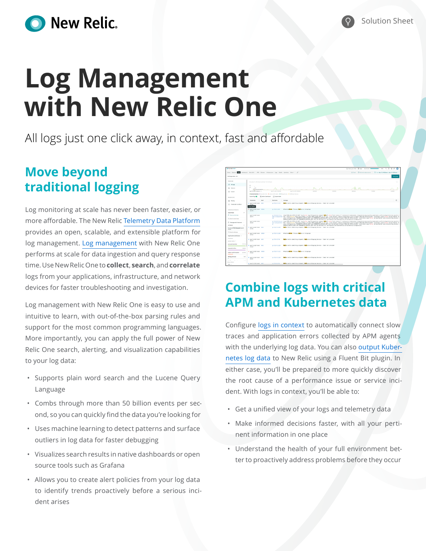

# **Log Management with New Relic One**

All logs just one click away, in context, fast and affordable

### **Move beyond traditional logging**

Log monitoring at scale has never been faster, easier, or more affordable. The New Relic [Telemetry Data Platform](https://newrelic.com/platform/telemetry-data-platform)  provides an open, scalable, and extensible platform for log management. [Log management](https://newrelic.com/products/logs) with New Relic One performs at scale for data ingestion and query response time. Use New Relic One to **collect**, **search**, and **correlate** logs from your applications, infrastructure, and network devices for faster troubleshooting and investigation.

Log management with New Relic One is easy to use and intuitive to learn, with out-of-the-box parsing rules and support for the most common programming languages. More importantly, you can apply the full power of New Relic One search, alerting, and visualization capabilities to your log data:

- Supports plain word search and the Lucene Query Language
- Combs through more than 50 billion events per second, so you can quickly find the data you're looking for
- Uses machine learning to detect patterns and surface outliers in log data for faster debugging
- Visualizes search results in native dashboards or open source tools such as Grafana
- Allows you to create alert policies from your log data to identify trends proactively before a serious incident arises

| C fire fiels CAIL"                                      |                                                             |                                                                                                                           | in Overyour data 22 Apps Quick start<br>$    -$<br>$02 - 43$<br>ര                                                                                                                                                                                                                                                                                                                                                                                                                                                                                                                                                                                                                                                                                             |
|---------------------------------------------------------|-------------------------------------------------------------|---------------------------------------------------------------------------------------------------------------------------|---------------------------------------------------------------------------------------------------------------------------------------------------------------------------------------------------------------------------------------------------------------------------------------------------------------------------------------------------------------------------------------------------------------------------------------------------------------------------------------------------------------------------------------------------------------------------------------------------------------------------------------------------------------------------------------------------------------------------------------------------------------|
| Hame Explorer <b>EXTEN</b>                              |                                                             | Dattisants Hertch-N. APM Brance: Infrastructure Lass Mobile Senthelics Marx - a                                           | C Son Apr 13, 0620 am to Apr 14, 0234 am<br>A Share (4) Add more data sources                                                                                                                                                                                                                                                                                                                                                                                                                                                                                                                                                                                                                                                                                 |
| Find logs where fail                                    |                                                             |                                                                                                                           | Overs logs                                                                                                                                                                                                                                                                                                                                                                                                                                                                                                                                                                                                                                                                                                                                                    |
|                                                         |                                                             |                                                                                                                           |                                                                                                                                                                                                                                                                                                                                                                                                                                                                                                                                                                                                                                                                                                                                                               |
| YOUR LOCK                                               | Since Apr 13, 0623 pm until Apr 14, 02:54 pm                |                                                                                                                           |                                                                                                                                                                                                                                                                                                                                                                                                                                                                                                                                                                                                                                                                                                                                                               |
| <b>PL Atlant</b>                                        | 400                                                         |                                                                                                                           |                                                                                                                                                                                                                                                                                                                                                                                                                                                                                                                                                                                                                                                                                                                                                               |
| 22 Patterns                                             | 205<br>3. Lamonanco<br>$\sim$                               | Avd 13, 2021 29:00:00<br>easing                                                                                           | <b>DOM NO</b><br>centered<br><b>LEASER</b><br>sanno                                                                                                                                                                                                                                                                                                                                                                                                                                                                                                                                                                                                                                                                                                           |
| (b) livesal                                             | April 15, 2541 16:42:25 111                                 | April 13, 2021 20:00:00<br>CANNAMIAMORE CANNADIATE CANADIAN CONTROLL CANNA GALLERY CONTROLLER                             |                                                                                                                                                                                                                                                                                                                                                                                                                                                                                                                                                                                                                                                                                                                                                               |
| Midwide DATA                                            | Downflop (C) [ Additionational [ C Downflobis               |                                                                                                                           |                                                                                                                                                                                                                                                                                                                                                                                                                                                                                                                                                                                                                                                                                                                                                               |
| (i) Parsing                                             | timestamp<br>$\times$ level                                 | homeme<br>menage<br>$\times$                                                                                              | $\odot$                                                                                                                                                                                                                                                                                                                                                                                                                                                                                                                                                                                                                                                                                                                                                       |
| C) Create alert condition                               | . April 13, 2021 16:43: INFO<br>17164<br><b>Level FRECK</b> | Failed while submitting shipment: Failure on Shipping Service - label not provided<br>In: (70,31,44,343)                  |                                                                                                                                                                                                                                                                                                                                                                                                                                                                                                                                                                                                                                                                                                                                                               |
| <b>VERS FRO ATTERUTES</b>                               | * April 13, 2021 16:43: ERROR<br>12,170                     | $10-172-31-6-153$<br>#-RuntineErrar: Process failure at shipping-                                                         |                                                                                                                                                                                                                                                                                                                                                                                                                                                                                                                                                                                                                                                                                                                                                               |
| Saved Views<br>$\sim$<br>CO Save current view           | April 13, 2021 16:43:                                       |                                                                                                                           | 01723031-11ab time="201-04-13721+0:22" level-arrar mag="integration command failed" error="cuit status 1" instance=eri-kabermetes integration-com.covetic.kabermetes prefix=integration-com.covetic.k                                                                                                                                                                                                                                                                                                                                                                                                                                                                                                                                                         |
| Q Search soved views                                    | 23.515                                                      | <b>AM</b>                                                                                                                 | went computations: 32" Tenelmanning appl/Environment variable NAIA.CAONE.PATA is not set, using default /trackeri-hobernates.ison/"httime=\"\$21-44-13723-43:232\" lovel=panic mont'errar during Nubelet au<br>unter configuration, ROBERNETES SERVICE HOST and KOBERNETES SERVICE PORT must be defined\"\Atime=\"1821-46-13723;43;232\" breel=fatal most prese during Kubelet auto discovering process. (<br>SUNSTER SERVICE HOST and KURERWITES SERVICE PORT must be defined "to" working-directed/characterist-infratomary-lic-infearations                                                                                                                                                                                                                |
| F1 Message with Hostmanie<br><b>Amribunes</b><br>$\sim$ | April 13, 2021 16:43:<br>26,634                             | ×                                                                                                                         | ip (1) 3) 35 22 up w 11mm="2021-04-13722:43:202" level=errer mage" ntegration command Exiles" errace"cult status 1" instance=eri-kubernetes integration=com, mowelic, kubernetes prefix=integration/com, mowelic.i<br>en Lorenzo.Home 65" level-werding app-t'Environment variable MRIA CAOH PRTM is not set, using default /trackri-bubernetes.ison/"intime="281-84-1372)+01/282- Sevel-goes); may-t'errar during Kubelet au<br>unter configuration, KOBSMETES SERVICE HOST and KOBSMETES SERVICE PORT must be defined\"\Atlane\"1831-di-13733+53+267\" (evel-fata) mon-\"errar during Autobet auto discovering process, a<br>ENNETES SERVICE HOST and KURERNETES SERVICE PORT must be defined("\n" working-dir=/var/db/mewrelic-infra/newrelic-integrations |
| found on 27.46 the peace down in<br>results             | . April 13, 2021 16:42 / INFO<br>27,760                     | Extint while cubsilities chiesent: Extince on Ohioning Service - label not excuted<br>(6-172-31-12-229)                   |                                                                                                                                                                                                                                                                                                                                                                                                                                                                                                                                                                                                                                                                                                                                                               |
| O, Search adolivies                                     | * April 13, 2021 16:43: ERROR<br>27794                      | #-Runtimoderme: Process failure at shipping><br>ip-172-31-12-239                                                          |                                                                                                                                                                                                                                                                                                                                                                                                                                                                                                                                                                                                                                                                                                                                                               |
| Application attributes ~                                |                                                             |                                                                                                                           |                                                                                                                                                                                                                                                                                                                                                                                                                                                                                                                                                                                                                                                                                                                                                               |
| hostname<br>service name in                             | . April 13, 2021 16:43: INFO<br>30.676                      | ip-172-31-27-38<br>Failed while submitting shipment: Failure on Shipping Service - label not provided                     |                                                                                                                                                                                                                                                                                                                                                                                                                                                                                                                                                                                                                                                                                                                                                               |
| 11.5 k<br>account-service                               | . April 13, 2021 16:63 n/FO                                 | Failed while submitting shipment: Failure on Shipping Service - label not provided<br>ID-172-31-12-229                    |                                                                                                                                                                                                                                                                                                                                                                                                                                                                                                                                                                                                                                                                                                                                                               |
| newrello-infra<br>10.8 k                                | 31.529                                                      |                                                                                                                           |                                                                                                                                                                                                                                                                                                                                                                                                                                                                                                                                                                                                                                                                                                                                                               |
| 3.56%<br>arder-confirmation                             | . April 13, 2021 16:43: ERROR<br>31,533                     | #-Runtimodyrman: Process failure at shipping=<br>49-1720 81-11-212                                                        |                                                                                                                                                                                                                                                                                                                                                                                                                                                                                                                                                                                                                                                                                                                                                               |
| Billing Service<br>3.41<br><b>Color</b>                 | April 13, 2021 16:63 INFO<br>32,301                         | Failed while submitting shipment: Failure on Shipping Service - label not provided<br>in 172.81-12-239                    |                                                                                                                                                                                                                                                                                                                                                                                                                                                                                                                                                                                                                                                                                                                                                               |
| <b>Outus 5 Minora</b>                                   | And 13 300 5649 ANO                                         | <b>Jul 179, 31-6, 163</b><br>Excluding while subscription shippens: Excluding an University Cervice - Inhel net experient |                                                                                                                                                                                                                                                                                                                                                                                                                                                                                                                                                                                                                                                                                                                                                               |
| Jean's in                                               |                                                             |                                                                                                                           |                                                                                                                                                                                                                                                                                                                                                                                                                                                                                                                                                                                                                                                                                                                                                               |

## **Combine logs with critical APM and Kubernetes data**

Configure [logs in context](https://docs.newrelic.com/docs/logs/enable-logs/configure-logs-context/configure-logs-context-apm-agents) to automatically connect slow traces and application errors collected by APM agents with the underlying log data. You can also [output Kuber](https://docs.newrelic.com/docs/logs/enable-logs/enable-logs/kubernetes-plugin-logs)[netes log data](https://docs.newrelic.com/docs/logs/enable-logs/enable-logs/kubernetes-plugin-logs) to New Relic using a Fluent Bit plugin. In either case, you'll be prepared to more quickly discover the root cause of a performance issue or service incident. With logs in context, you'll be able to:

- Get a unified view of your logs and telemetry data
- Make informed decisions faster, with all your pertinent information in one place
- Understand the health of your full environment better to proactively address problems before they occur

Solution Sheet